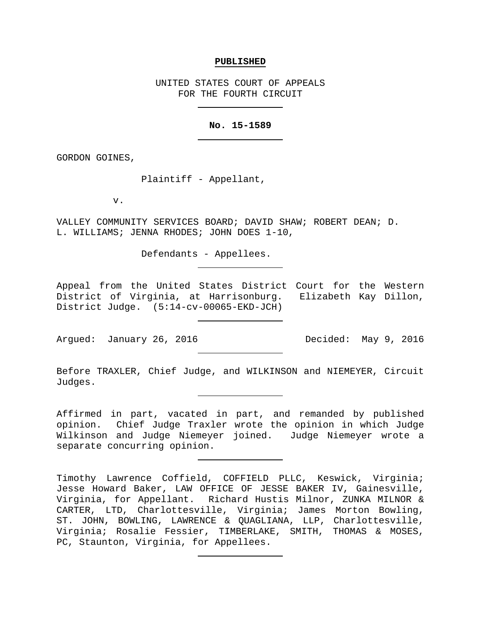#### **PUBLISHED**

UNITED STATES COURT OF APPEALS FOR THE FOURTH CIRCUIT

## **No. 15-1589**

GORDON GOINES,

Plaintiff - Appellant,

v.

VALLEY COMMUNITY SERVICES BOARD; DAVID SHAW; ROBERT DEAN; D. L. WILLIAMS; JENNA RHODES; JOHN DOES 1-10,

Defendants - Appellees.

Appeal from the United States District Court for the Western District of Virginia, at Harrisonburg. Elizabeth Kay Dillon, District Judge. (5:14-cv-00065-EKD-JCH)

Argued: January 26, 2016 Decided: May 9, 2016

Before TRAXLER, Chief Judge, and WILKINSON and NIEMEYER, Circuit Judges.

Affirmed in part, vacated in part, and remanded by published opinion. Chief Judge Traxler wrote the opinion in which Judge Wilkinson and Judge Niemeyer joined. Judge Niemeyer wrote a separate concurring opinion.

Timothy Lawrence Coffield, COFFIELD PLLC, Keswick, Virginia; Jesse Howard Baker, LAW OFFICE OF JESSE BAKER IV, Gainesville, Virginia, for Appellant. Richard Hustis Milnor, ZUNKA MILNOR & CARTER, LTD, Charlottesville, Virginia; James Morton Bowling, ST. JOHN, BOWLING, LAWRENCE & QUAGLIANA, LLP, Charlottesville, Virginia; Rosalie Fessier, TIMBERLAKE, SMITH, THOMAS & MOSES, PC, Staunton, Virginia, for Appellees.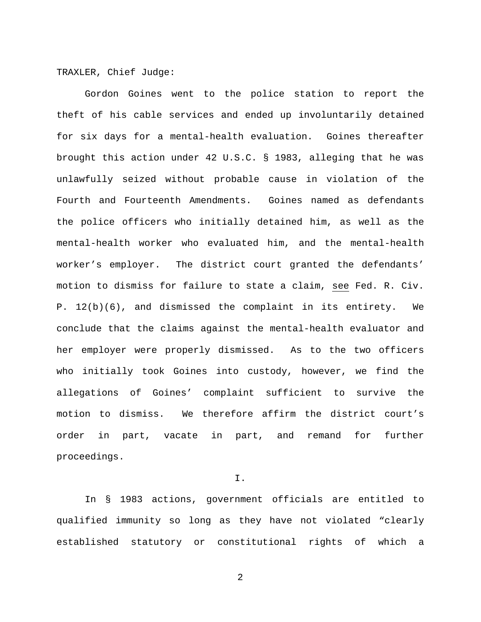## TRAXLER, Chief Judge:

Gordon Goines went to the police station to report the theft of his cable services and ended up involuntarily detained for six days for a mental-health evaluation. Goines thereafter brought this action under 42 U.S.C. § 1983, alleging that he was unlawfully seized without probable cause in violation of the Fourth and Fourteenth Amendments. Goines named as defendants the police officers who initially detained him, as well as the mental-health worker who evaluated him, and the mental-health worker's employer. The district court granted the defendants' motion to dismiss for failure to state a claim, see Fed. R. Civ. P. 12(b)(6), and dismissed the complaint in its entirety. We conclude that the claims against the mental-health evaluator and her employer were properly dismissed. As to the two officers who initially took Goines into custody, however, we find the allegations of Goines' complaint sufficient to survive the motion to dismiss. We therefore affirm the district court's order in part, vacate in part, and remand for further proceedings.

I.

In § 1983 actions, government officials are entitled to qualified immunity so long as they have not violated "clearly established statutory or constitutional rights of which a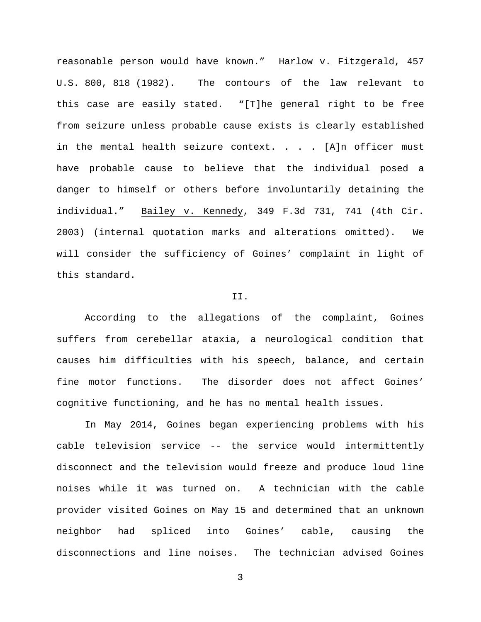reasonable person would have known." Harlow v. Fitzgerald, 457 U.S. 800, 818 (1982). The contours of the law relevant to this case are easily stated. "[T]he general right to be free from seizure unless probable cause exists is clearly established in the mental health seizure context. . . .  $[A]$ n officer must have probable cause to believe that the individual posed a danger to himself or others before involuntarily detaining the individual." Bailey v. Kennedy, 349 F.3d 731, 741 (4th Cir. 2003) (internal quotation marks and alterations omitted). We will consider the sufficiency of Goines' complaint in light of this standard.

## II.

According to the allegations of the complaint, Goines suffers from cerebellar ataxia, a neurological condition that causes him difficulties with his speech, balance, and certain fine motor functions. The disorder does not affect Goines' cognitive functioning, and he has no mental health issues.

In May 2014, Goines began experiencing problems with his cable television service -- the service would intermittently disconnect and the television would freeze and produce loud line noises while it was turned on. A technician with the cable provider visited Goines on May 15 and determined that an unknown neighbor had spliced into Goines' cable, causing the disconnections and line noises. The technician advised Goines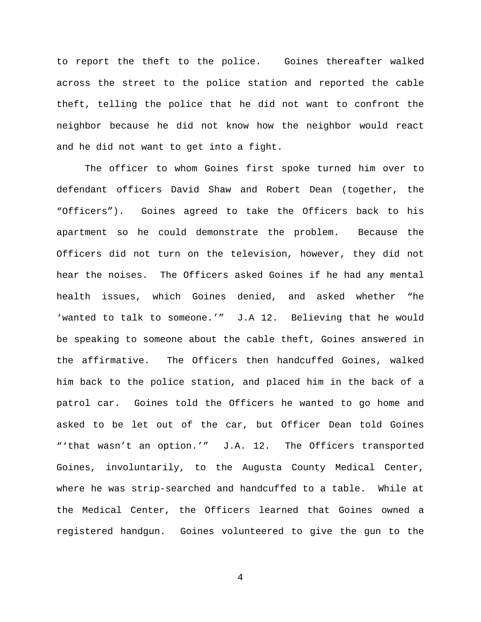to report the theft to the police. Goines thereafter walked across the street to the police station and reported the cable theft, telling the police that he did not want to confront the neighbor because he did not know how the neighbor would react and he did not want to get into a fight.

The officer to whom Goines first spoke turned him over to defendant officers David Shaw and Robert Dean (together, the "Officers"). Goines agreed to take the Officers back to his apartment so he could demonstrate the problem. Because the Officers did not turn on the television, however, they did not hear the noises. The Officers asked Goines if he had any mental health issues, which Goines denied, and asked whether "he 'wanted to talk to someone.'" J.A 12. Believing that he would be speaking to someone about the cable theft, Goines answered in the affirmative. The Officers then handcuffed Goines, walked him back to the police station, and placed him in the back of a patrol car. Goines told the Officers he wanted to go home and asked to be let out of the car, but Officer Dean told Goines "'that wasn't an option.'" J.A. 12. The Officers transported Goines, involuntarily, to the Augusta County Medical Center, where he was strip-searched and handcuffed to a table. While at the Medical Center, the Officers learned that Goines owned a registered handgun. Goines volunteered to give the gun to the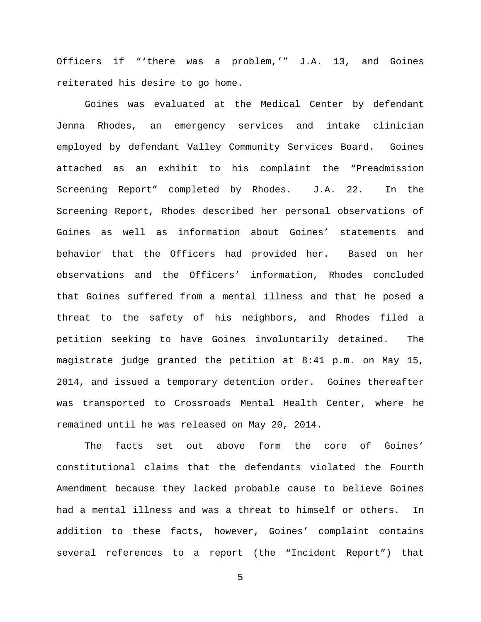Officers if "'there was a problem,'" J.A. 13, and Goines reiterated his desire to go home.

Goines was evaluated at the Medical Center by defendant Jenna Rhodes, an emergency services and intake clinician employed by defendant Valley Community Services Board. Goines attached as an exhibit to his complaint the "Preadmission Screening Report" completed by Rhodes. J.A. 22. In the Screening Report, Rhodes described her personal observations of Goines as well as information about Goines' statements and behavior that the Officers had provided her. Based on her observations and the Officers' information, Rhodes concluded that Goines suffered from a mental illness and that he posed a threat to the safety of his neighbors, and Rhodes filed a petition seeking to have Goines involuntarily detained. The magistrate judge granted the petition at 8:41 p.m. on May 15, 2014, and issued a temporary detention order. Goines thereafter was transported to Crossroads Mental Health Center, where he remained until he was released on May 20, 2014.

The facts set out above form the core of Goines' constitutional claims that the defendants violated the Fourth Amendment because they lacked probable cause to believe Goines had a mental illness and was a threat to himself or others. In addition to these facts, however, Goines' complaint contains several references to a report (the "Incident Report") that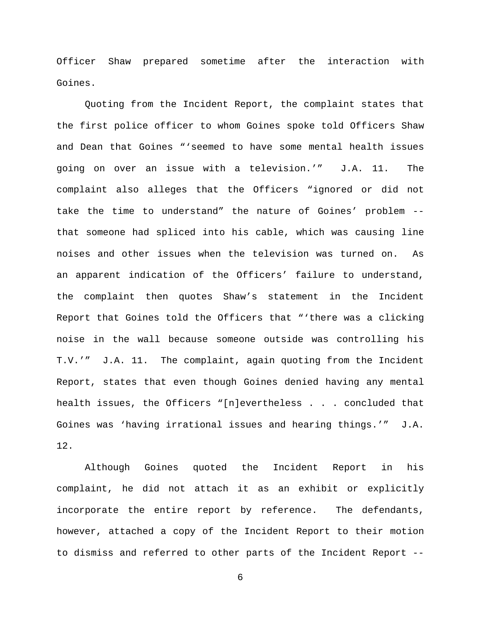Officer Shaw prepared sometime after the interaction with Goines.

Quoting from the Incident Report, the complaint states that the first police officer to whom Goines spoke told Officers Shaw and Dean that Goines "'seemed to have some mental health issues going on over an issue with a television.'" J.A. 11. The complaint also alleges that the Officers "ignored or did not take the time to understand" the nature of Goines' problem - that someone had spliced into his cable, which was causing line noises and other issues when the television was turned on. As an apparent indication of the Officers' failure to understand, the complaint then quotes Shaw's statement in the Incident Report that Goines told the Officers that "'there was a clicking noise in the wall because someone outside was controlling his T.V.'" J.A. 11. The complaint, again quoting from the Incident Report, states that even though Goines denied having any mental health issues, the Officers "[n]evertheless . . . concluded that Goines was 'having irrational issues and hearing things.'" J.A. 12.

Although Goines quoted the Incident Report in his complaint, he did not attach it as an exhibit or explicitly incorporate the entire report by reference. The defendants, however, attached a copy of the Incident Report to their motion to dismiss and referred to other parts of the Incident Report --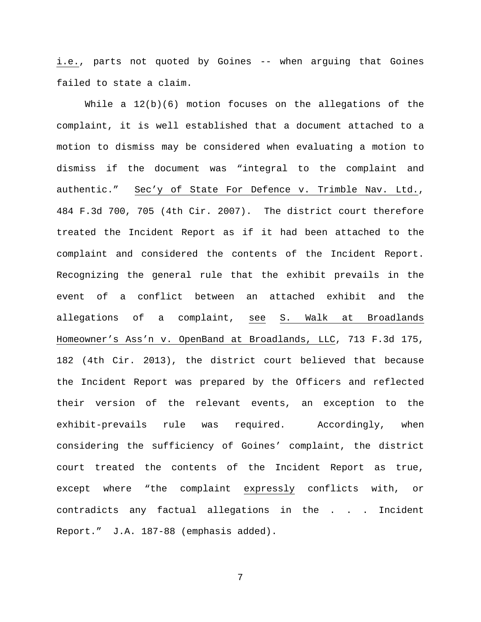i.e., parts not quoted by Goines -- when arguing that Goines failed to state a claim.

While a 12(b)(6) motion focuses on the allegations of the complaint, it is well established that a document attached to a motion to dismiss may be considered when evaluating a motion to dismiss if the document was "integral to the complaint and authentic." Sec'y of State For Defence v. Trimble Nav. Ltd., 484 F.3d 700, 705 (4th Cir. 2007). The district court therefore treated the Incident Report as if it had been attached to the complaint and considered the contents of the Incident Report. Recognizing the general rule that the exhibit prevails in the event of a conflict between an attached exhibit and the allegations of a complaint, see S. Walk at Broadlands Homeowner's Ass'n v. OpenBand at Broadlands, LLC, 713 F.3d 175, 182 (4th Cir. 2013), the district court believed that because the Incident Report was prepared by the Officers and reflected their version of the relevant events, an exception to the exhibit-prevails rule was required. Accordingly, when considering the sufficiency of Goines' complaint, the district court treated the contents of the Incident Report as true, except where "the complaint expressly conflicts with, or contradicts any factual allegations in the . . . Incident Report." J.A. 187-88 (emphasis added).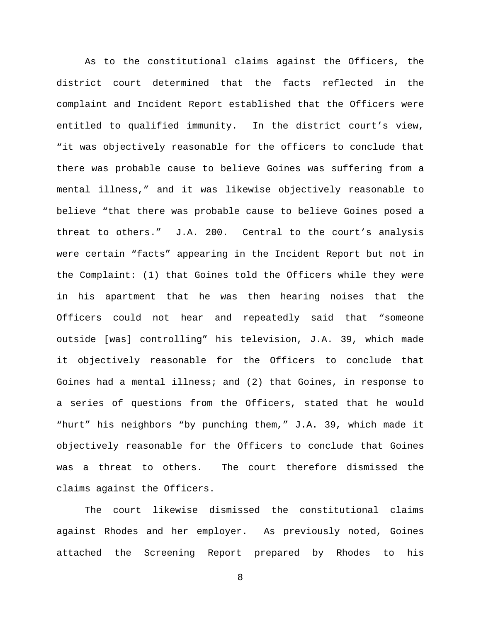As to the constitutional claims against the Officers, the district court determined that the facts reflected in the complaint and Incident Report established that the Officers were entitled to qualified immunity. In the district court's view, "it was objectively reasonable for the officers to conclude that there was probable cause to believe Goines was suffering from a mental illness," and it was likewise objectively reasonable to believe "that there was probable cause to believe Goines posed a threat to others." J.A. 200. Central to the court's analysis were certain "facts" appearing in the Incident Report but not in the Complaint: (1) that Goines told the Officers while they were in his apartment that he was then hearing noises that the Officers could not hear and repeatedly said that "someone outside [was] controlling" his television, J.A. 39, which made it objectively reasonable for the Officers to conclude that Goines had a mental illness; and (2) that Goines, in response to a series of questions from the Officers, stated that he would "hurt" his neighbors "by punching them," J.A. 39, which made it objectively reasonable for the Officers to conclude that Goines was a threat to others. The court therefore dismissed the claims against the Officers.

The court likewise dismissed the constitutional claims against Rhodes and her employer. As previously noted, Goines attached the Screening Report prepared by Rhodes to his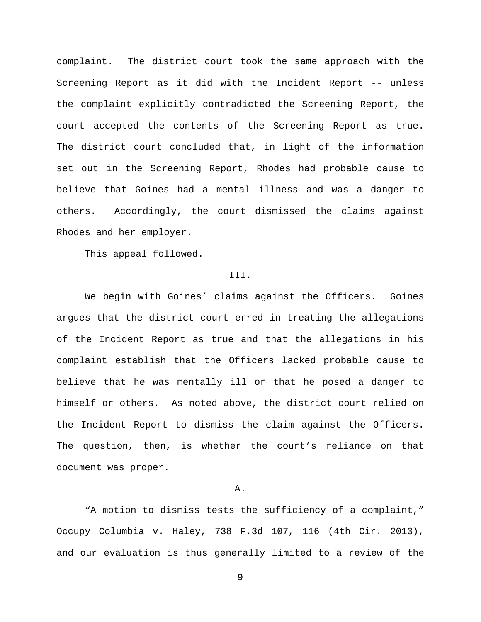complaint. The district court took the same approach with the Screening Report as it did with the Incident Report -- unless the complaint explicitly contradicted the Screening Report, the court accepted the contents of the Screening Report as true. The district court concluded that, in light of the information set out in the Screening Report, Rhodes had probable cause to believe that Goines had a mental illness and was a danger to others. Accordingly, the court dismissed the claims against Rhodes and her employer.

This appeal followed.

#### III.

We begin with Goines' claims against the Officers. Goines argues that the district court erred in treating the allegations of the Incident Report as true and that the allegations in his complaint establish that the Officers lacked probable cause to believe that he was mentally ill or that he posed a danger to himself or others. As noted above, the district court relied on the Incident Report to dismiss the claim against the Officers. The question, then, is whether the court's reliance on that document was proper.

#### A.

"A motion to dismiss tests the sufficiency of a complaint," Occupy Columbia v. Haley, 738 F.3d 107, 116 (4th Cir. 2013), and our evaluation is thus generally limited to a review of the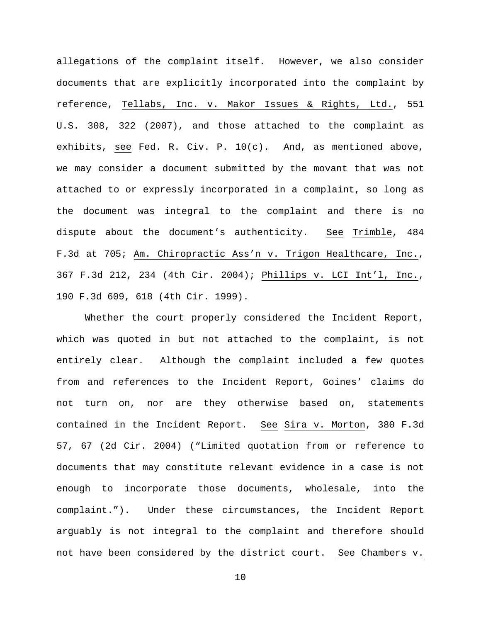allegations of the complaint itself. However, we also consider documents that are explicitly incorporated into the complaint by reference, Tellabs, Inc. v. Makor Issues & Rights, Ltd., 551 U.S. 308, 322 (2007), and those attached to the complaint as exhibits, see Fed. R. Civ. P. 10(c). And, as mentioned above, we may consider a document submitted by the movant that was not attached to or expressly incorporated in a complaint, so long as the document was integral to the complaint and there is no dispute about the document's authenticity. See Trimble, 484 F.3d at 705; Am. Chiropractic Ass'n v. Trigon Healthcare, Inc., 367 F.3d 212, 234 (4th Cir. 2004); Phillips v. LCI Int'l, Inc., 190 F.3d 609, 618 (4th Cir. 1999).

Whether the court properly considered the Incident Report, which was quoted in but not attached to the complaint, is not entirely clear. Although the complaint included a few quotes from and references to the Incident Report, Goines' claims do not turn on, nor are they otherwise based on, statements contained in the Incident Report. See Sira v. Morton, 380 F.3d 57, 67 (2d Cir. 2004) ("Limited quotation from or reference to documents that may constitute relevant evidence in a case is not enough to incorporate those documents, wholesale, into the complaint."). Under these circumstances, the Incident Report arguably is not integral to the complaint and therefore should not have been considered by the district court. See Chambers v.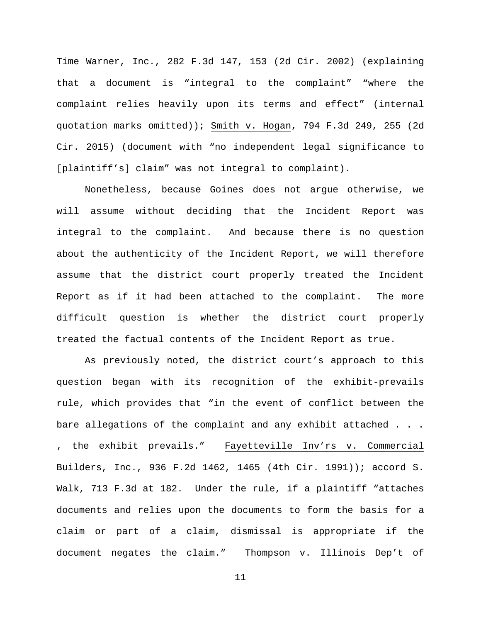Time Warner, Inc., 282 F.3d 147, 153 (2d Cir. 2002) (explaining that a document is "integral to the complaint" "where the complaint relies heavily upon its terms and effect" (internal quotation marks omitted)); Smith v. Hogan, 794 F.3d 249, 255 (2d Cir. 2015) (document with "no independent legal significance to [plaintiff's] claim" was not integral to complaint).

Nonetheless, because Goines does not argue otherwise, we will assume without deciding that the Incident Report was integral to the complaint. And because there is no question about the authenticity of the Incident Report, we will therefore assume that the district court properly treated the Incident Report as if it had been attached to the complaint. The more difficult question is whether the district court properly treated the factual contents of the Incident Report as true.

As previously noted, the district court's approach to this question began with its recognition of the exhibit-prevails rule, which provides that "in the event of conflict between the bare allegations of the complaint and any exhibit attached . . . , the exhibit prevails." Fayetteville Inv'rs v. Commercial Builders, Inc., 936 F.2d 1462, 1465 (4th Cir. 1991)); accord S. Walk, 713 F.3d at 182. Under the rule, if a plaintiff "attaches documents and relies upon the documents to form the basis for a claim or part of a claim, dismissal is appropriate if the document negates the claim." Thompson v. Illinois Dep't of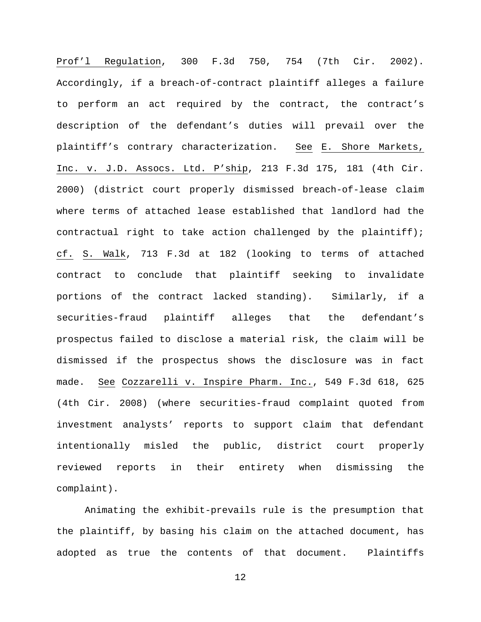Prof'l Regulation, 300 F.3d 750, 754 (7th Cir. 2002). Accordingly, if a breach-of-contract plaintiff alleges a failure to perform an act required by the contract, the contract's description of the defendant's duties will prevail over the plaintiff's contrary characterization. See E. Shore Markets, Inc. v. J.D. Assocs. Ltd. P'ship, 213 F.3d 175, 181 (4th Cir. 2000) (district court properly dismissed breach-of-lease claim where terms of attached lease established that landlord had the contractual right to take action challenged by the plaintiff); cf. S. Walk, 713 F.3d at 182 (looking to terms of attached contract to conclude that plaintiff seeking to invalidate portions of the contract lacked standing). Similarly, if a securities-fraud plaintiff alleges that the defendant's prospectus failed to disclose a material risk, the claim will be dismissed if the prospectus shows the disclosure was in fact made. See Cozzarelli v. Inspire Pharm. Inc., 549 F.3d 618, 625 (4th Cir. 2008) (where securities-fraud complaint quoted from investment analysts' reports to support claim that defendant intentionally misled the public, district court properly reviewed reports in their entirety when dismissing the complaint).

Animating the exhibit-prevails rule is the presumption that the plaintiff, by basing his claim on the attached document, has adopted as true the contents of that document. Plaintiffs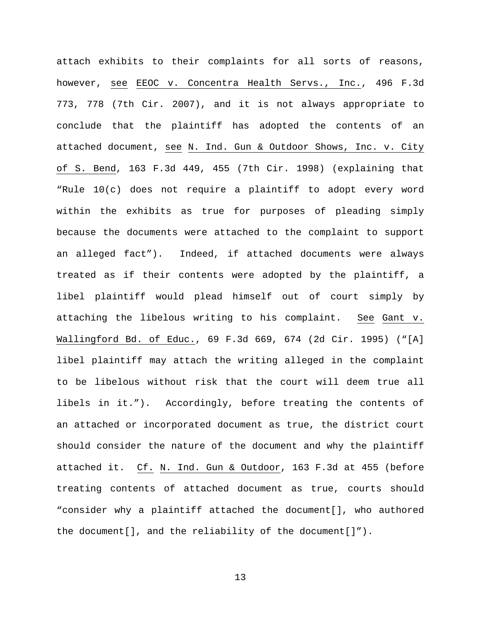attach exhibits to their complaints for all sorts of reasons, however, see EEOC v. Concentra Health Servs., Inc., 496 F.3d 773, 778 (7th Cir. 2007), and it is not always appropriate to conclude that the plaintiff has adopted the contents of an attached document, see N. Ind. Gun & Outdoor Shows, Inc. v. City of S. Bend, 163 F.3d 449, 455 (7th Cir. 1998) (explaining that "Rule 10(c) does not require a plaintiff to adopt every word within the exhibits as true for purposes of pleading simply because the documents were attached to the complaint to support an alleged fact"). Indeed, if attached documents were always treated as if their contents were adopted by the plaintiff, a libel plaintiff would plead himself out of court simply by attaching the libelous writing to his complaint. See Gant v. Wallingford Bd. of Educ., 69 F.3d 669, 674 (2d Cir. 1995) ("[A] libel plaintiff may attach the writing alleged in the complaint to be libelous without risk that the court will deem true all libels in it."). Accordingly, before treating the contents of an attached or incorporated document as true, the district court should consider the nature of the document and why the plaintiff attached it. Cf. N. Ind. Gun & Outdoor, 163 F.3d at 455 (before treating contents of attached document as true, courts should "consider why a plaintiff attached the document[], who authored the document[], and the reliability of the document[]").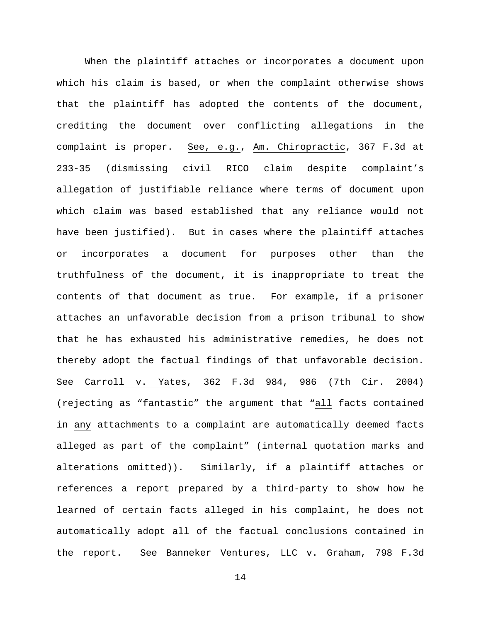When the plaintiff attaches or incorporates a document upon which his claim is based, or when the complaint otherwise shows that the plaintiff has adopted the contents of the document, crediting the document over conflicting allegations in the complaint is proper. See, e.g., Am. Chiropractic, 367 F.3d at 233-35 (dismissing civil RICO claim despite complaint's allegation of justifiable reliance where terms of document upon which claim was based established that any reliance would not have been justified). But in cases where the plaintiff attaches or incorporates a document for purposes other than the truthfulness of the document, it is inappropriate to treat the contents of that document as true. For example, if a prisoner attaches an unfavorable decision from a prison tribunal to show that he has exhausted his administrative remedies, he does not thereby adopt the factual findings of that unfavorable decision. See Carroll v. Yates, 362 F.3d 984, 986 (7th Cir. 2004) (rejecting as "fantastic" the argument that "all facts contained in any attachments to a complaint are automatically deemed facts alleged as part of the complaint" (internal quotation marks and alterations omitted)). Similarly, if a plaintiff attaches or references a report prepared by a third-party to show how he learned of certain facts alleged in his complaint, he does not automatically adopt all of the factual conclusions contained in the report. See Banneker Ventures, LLC v. Graham, 798 F.3d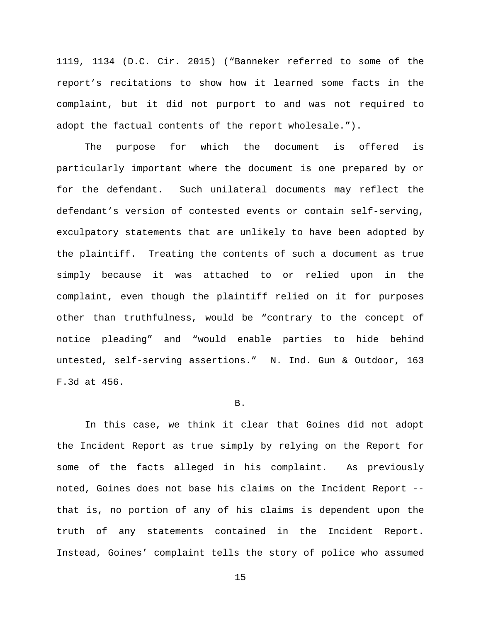1119, 1134 (D.C. Cir. 2015) ("Banneker referred to some of the report's recitations to show how it learned some facts in the complaint, but it did not purport to and was not required to adopt the factual contents of the report wholesale.").

The purpose for which the document is offered is particularly important where the document is one prepared by or for the defendant. Such unilateral documents may reflect the defendant's version of contested events or contain self-serving, exculpatory statements that are unlikely to have been adopted by the plaintiff. Treating the contents of such a document as true simply because it was attached to or relied upon in the complaint, even though the plaintiff relied on it for purposes other than truthfulness, would be "contrary to the concept of notice pleading" and "would enable parties to hide behind untested, self-serving assertions." N. Ind. Gun & Outdoor, 163 F.3d at 456.

## B.

In this case, we think it clear that Goines did not adopt the Incident Report as true simply by relying on the Report for some of the facts alleged in his complaint. As previously noted, Goines does not base his claims on the Incident Report - that is, no portion of any of his claims is dependent upon the truth of any statements contained in the Incident Report. Instead, Goines' complaint tells the story of police who assumed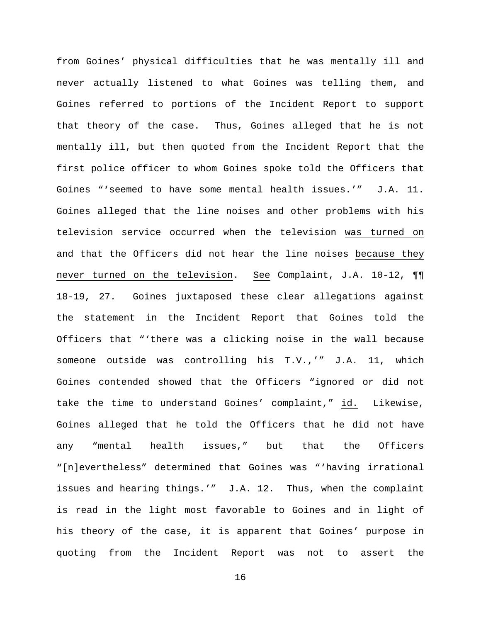from Goines' physical difficulties that he was mentally ill and never actually listened to what Goines was telling them, and Goines referred to portions of the Incident Report to support that theory of the case. Thus, Goines alleged that he is not mentally ill, but then quoted from the Incident Report that the first police officer to whom Goines spoke told the Officers that Goines "'seemed to have some mental health issues.'" J.A. 11. Goines alleged that the line noises and other problems with his television service occurred when the television was turned on and that the Officers did not hear the line noises because they never turned on the television. See Complaint, J.A. 10-12, ¶¶ 18-19, 27. Goines juxtaposed these clear allegations against the statement in the Incident Report that Goines told the Officers that "'there was a clicking noise in the wall because someone outside was controlling his T.V.,'" J.A. 11, which Goines contended showed that the Officers "ignored or did not take the time to understand Goines' complaint," id. Likewise, Goines alleged that he told the Officers that he did not have any "mental health issues," but that the Officers "[n]evertheless" determined that Goines was "'having irrational issues and hearing things.'" J.A. 12. Thus, when the complaint is read in the light most favorable to Goines and in light of his theory of the case, it is apparent that Goines' purpose in quoting from the Incident Report was not to assert the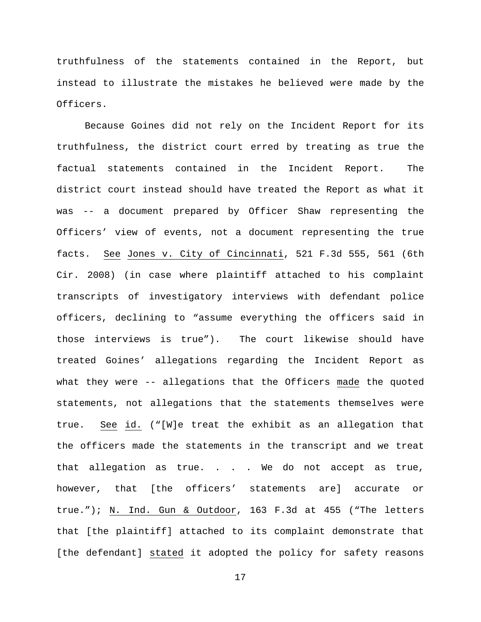truthfulness of the statements contained in the Report, but instead to illustrate the mistakes he believed were made by the Officers.

Because Goines did not rely on the Incident Report for its truthfulness, the district court erred by treating as true the factual statements contained in the Incident Report. The district court instead should have treated the Report as what it was -- a document prepared by Officer Shaw representing the Officers' view of events, not a document representing the true facts. See Jones v. City of Cincinnati, 521 F.3d 555, 561 (6th Cir. 2008) (in case where plaintiff attached to his complaint transcripts of investigatory interviews with defendant police officers, declining to "assume everything the officers said in those interviews is true"). The court likewise should have treated Goines' allegations regarding the Incident Report as what they were -- allegations that the Officers made the quoted statements, not allegations that the statements themselves were true. See id. ("[W]e treat the exhibit as an allegation that the officers made the statements in the transcript and we treat that allegation as true. . . . We do not accept as true, however, that [the officers' statements are] accurate or true."); N. Ind. Gun & Outdoor, 163 F.3d at 455 ("The letters that [the plaintiff] attached to its complaint demonstrate that [the defendant] stated it adopted the policy for safety reasons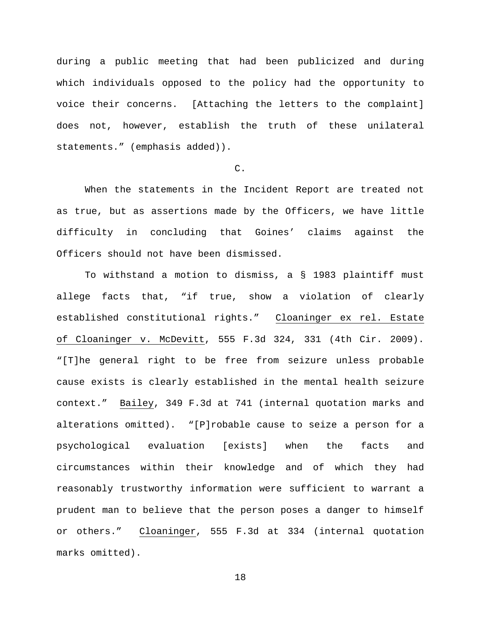during a public meeting that had been publicized and during which individuals opposed to the policy had the opportunity to voice their concerns. [Attaching the letters to the complaint] does not, however, establish the truth of these unilateral statements." (emphasis added)).

# C.

When the statements in the Incident Report are treated not as true, but as assertions made by the Officers, we have little difficulty in concluding that Goines' claims against the Officers should not have been dismissed.

To withstand a motion to dismiss, a § 1983 plaintiff must allege facts that, "if true, show a violation of clearly established constitutional rights." Cloaninger ex rel. Estate of Cloaninger v. McDevitt, 555 F.3d 324, 331 (4th Cir. 2009). "[T]he general right to be free from seizure unless probable cause exists is clearly established in the mental health seizure context." Bailey, 349 F.3d at 741 (internal quotation marks and alterations omitted). "[P]robable cause to seize a person for a psychological evaluation [exists] when the facts and circumstances within their knowledge and of which they had reasonably trustworthy information were sufficient to warrant a prudent man to believe that the person poses a danger to himself or others." Cloaninger, 555 F.3d at 334 (internal quotation marks omitted).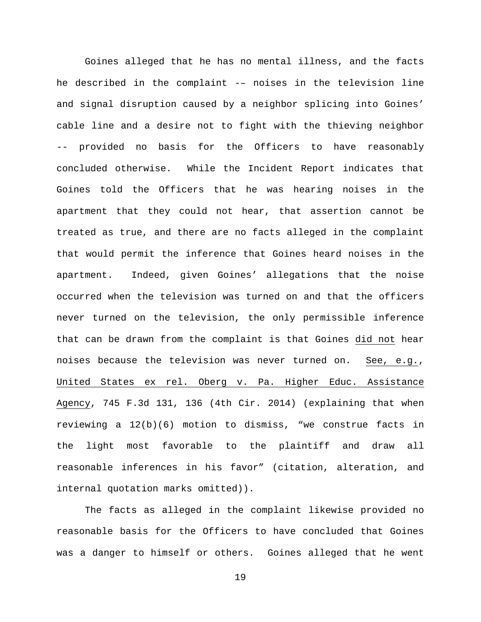Goines alleged that he has no mental illness, and the facts he described in the complaint -– noises in the television line and signal disruption caused by a neighbor splicing into Goines' cable line and a desire not to fight with the thieving neighbor -- provided no basis for the Officers to have reasonably concluded otherwise. While the Incident Report indicates that Goines told the Officers that he was hearing noises in the apartment that they could not hear, that assertion cannot be treated as true, and there are no facts alleged in the complaint that would permit the inference that Goines heard noises in the apartment. Indeed, given Goines' allegations that the noise occurred when the television was turned on and that the officers never turned on the television, the only permissible inference that can be drawn from the complaint is that Goines did not hear noises because the television was never turned on. See, e.g., United States ex rel. Oberg v. Pa. Higher Educ. Assistance Agency, 745 F.3d 131, 136 (4th Cir. 2014) (explaining that when reviewing a 12(b)(6) motion to dismiss, "we construe facts in the light most favorable to the plaintiff and draw all reasonable inferences in his favor" (citation, alteration, and internal quotation marks omitted)).

The facts as alleged in the complaint likewise provided no reasonable basis for the Officers to have concluded that Goines was a danger to himself or others. Goines alleged that he went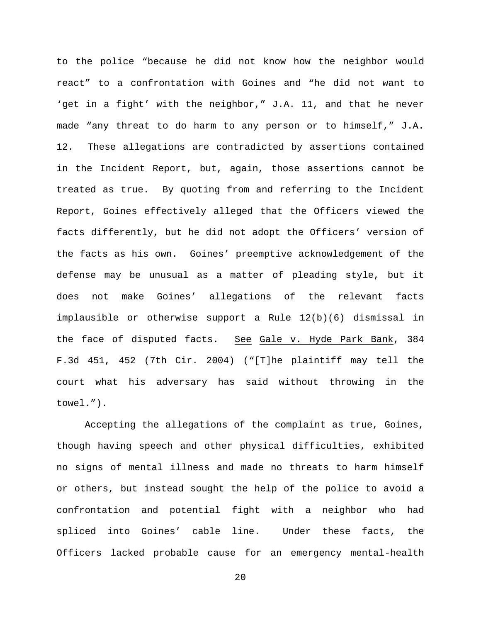to the police "because he did not know how the neighbor would react" to a confrontation with Goines and "he did not want to 'get in a fight' with the neighbor," J.A. 11, and that he never made "any threat to do harm to any person or to himself," J.A. 12. These allegations are contradicted by assertions contained in the Incident Report, but, again, those assertions cannot be treated as true. By quoting from and referring to the Incident Report, Goines effectively alleged that the Officers viewed the facts differently, but he did not adopt the Officers' version of the facts as his own. Goines' preemptive acknowledgement of the defense may be unusual as a matter of pleading style, but it does not make Goines' allegations of the relevant facts implausible or otherwise support a Rule 12(b)(6) dismissal in the face of disputed facts. See Gale v. Hyde Park Bank, 384 F.3d 451, 452 (7th Cir. 2004) ("[T]he plaintiff may tell the court what his adversary has said without throwing in the towel.").

Accepting the allegations of the complaint as true, Goines, though having speech and other physical difficulties, exhibited no signs of mental illness and made no threats to harm himself or others, but instead sought the help of the police to avoid a confrontation and potential fight with a neighbor who had spliced into Goines' cable line. Under these facts, the Officers lacked probable cause for an emergency mental-health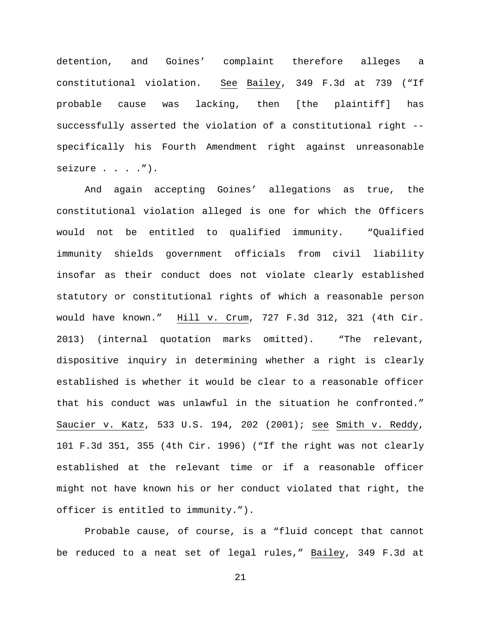detention, and Goines' complaint therefore alleges a constitutional violation. See Bailey, 349 F.3d at 739 ("If probable cause was lacking, then [the plaintiff] has successfully asserted the violation of a constitutional right - specifically his Fourth Amendment right against unreasonable seizure . . . . ").

And again accepting Goines' allegations as true, the constitutional violation alleged is one for which the Officers would not be entitled to qualified immunity. "Qualified immunity shields government officials from civil liability insofar as their conduct does not violate clearly established statutory or constitutional rights of which a reasonable person would have known." Hill v. Crum, 727 F.3d 312, 321 (4th Cir. 2013) (internal quotation marks omitted). "The relevant, dispositive inquiry in determining whether a right is clearly established is whether it would be clear to a reasonable officer that his conduct was unlawful in the situation he confronted." Saucier v. Katz, 533 U.S. 194, 202 (2001); see Smith v. Reddy, 101 F.3d 351, 355 (4th Cir. 1996) ("If the right was not clearly established at the relevant time or if a reasonable officer might not have known his or her conduct violated that right, the officer is entitled to immunity.").

Probable cause, of course, is a "fluid concept that cannot be reduced to a neat set of legal rules," Bailey, 349 F.3d at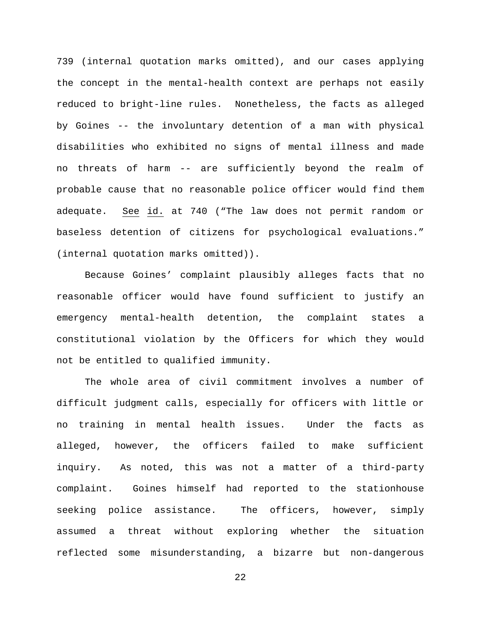739 (internal quotation marks omitted), and our cases applying the concept in the mental-health context are perhaps not easily reduced to bright-line rules. Nonetheless, the facts as alleged by Goines -- the involuntary detention of a man with physical disabilities who exhibited no signs of mental illness and made no threats of harm -- are sufficiently beyond the realm of probable cause that no reasonable police officer would find them adequate. See id. at 740 ("The law does not permit random or baseless detention of citizens for psychological evaluations." (internal quotation marks omitted)).

Because Goines' complaint plausibly alleges facts that no reasonable officer would have found sufficient to justify an emergency mental-health detention, the complaint states a constitutional violation by the Officers for which they would not be entitled to qualified immunity.

The whole area of civil commitment involves a number of difficult judgment calls, especially for officers with little or no training in mental health issues. Under the facts as alleged, however, the officers failed to make sufficient inquiry. As noted, this was not a matter of a third-party complaint. Goines himself had reported to the stationhouse seeking police assistance. The officers, however, simply assumed a threat without exploring whether the situation reflected some misunderstanding, a bizarre but non-dangerous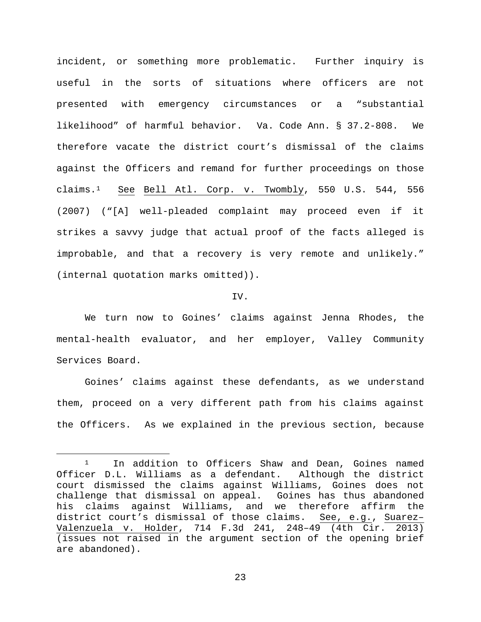incident, or something more problematic. Further inquiry is useful in the sorts of situations where officers are not presented with emergency circumstances or a "substantial likelihood" of harmful behavior. Va. Code Ann. § 37.2-808. We therefore vacate the district court's dismissal of the claims against the Officers and remand for further proceedings on those claims.[1](#page-22-0) See Bell Atl. Corp. v. Twombly, 550 U.S. 544, 556 (2007) ("[A] well-pleaded complaint may proceed even if it strikes a savvy judge that actual proof of the facts alleged is improbable, and that a recovery is very remote and unlikely." (internal quotation marks omitted)).

## IV.

We turn now to Goines' claims against Jenna Rhodes, the mental-health evaluator, and her employer, Valley Community Services Board.

Goines' claims against these defendants, as we understand them, proceed on a very different path from his claims against the Officers. As we explained in the previous section, because

<span id="page-22-0"></span><sup>&</sup>lt;sup>1</sup> In addition to Officers Shaw and Dean, Goines named Officer D.L. Williams as a defendant. Although the district court dismissed the claims against Williams, Goines does not challenge that dismissal on appeal. Goines has thus abandoned his claims against Williams, and we therefore affirm the district court's dismissal of those claims. See, e.g., Suarez– Valenzuela v. Holder, 714 F.3d 241, 248–49 (4th Cir. 2013) (issues not raised in the argument section of the opening brief are abandoned).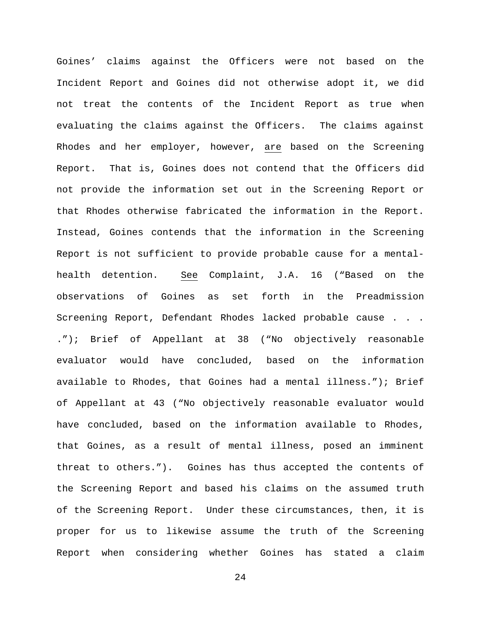Goines' claims against the Officers were not based on the Incident Report and Goines did not otherwise adopt it, we did not treat the contents of the Incident Report as true when evaluating the claims against the Officers. The claims against Rhodes and her employer, however, are based on the Screening Report. That is, Goines does not contend that the Officers did not provide the information set out in the Screening Report or that Rhodes otherwise fabricated the information in the Report. Instead, Goines contends that the information in the Screening Report is not sufficient to provide probable cause for a mentalhealth detention. See Complaint, J.A. 16 ("Based on the observations of Goines as set forth in the Preadmission Screening Report, Defendant Rhodes lacked probable cause . . . ."); Brief of Appellant at 38 ("No objectively reasonable evaluator would have concluded, based on the information available to Rhodes, that Goines had a mental illness."); Brief of Appellant at 43 ("No objectively reasonable evaluator would have concluded, based on the information available to Rhodes, that Goines, as a result of mental illness, posed an imminent threat to others."). Goines has thus accepted the contents of the Screening Report and based his claims on the assumed truth of the Screening Report. Under these circumstances, then, it is proper for us to likewise assume the truth of the Screening Report when considering whether Goines has stated a claim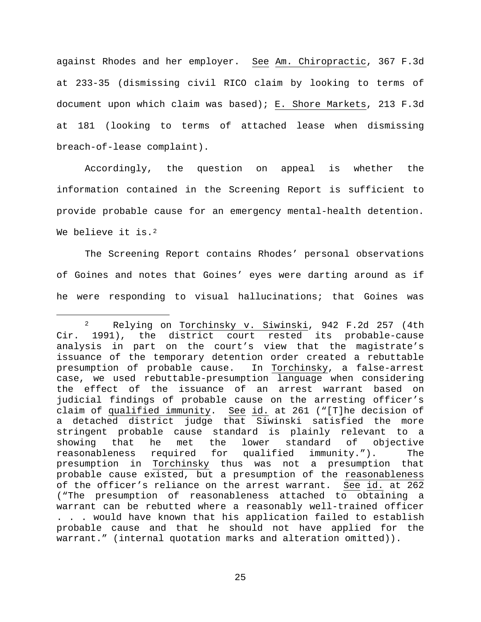against Rhodes and her employer. See Am. Chiropractic, 367 F.3d at 233-35 (dismissing civil RICO claim by looking to terms of document upon which claim was based); E. Shore Markets, 213 F.3d at 181 (looking to terms of attached lease when dismissing breach-of-lease complaint).

Accordingly, the question on appeal is whether the information contained in the Screening Report is sufficient to provide probable cause for an emergency mental-health detention. We believe it is.<sup>[2](#page-24-0)</sup>

The Screening Report contains Rhodes' personal observations of Goines and notes that Goines' eyes were darting around as if he were responding to visual hallucinations; that Goines was

<span id="page-24-0"></span> <sup>2</sup> Relying on Torchinsky v. Siwinski, 942 F.2d 257 (4th Cir. 1991), the district court rested its probable-cause analysis in part on the court's view that the magistrate's issuance of the temporary detention order created a rebuttable presumption of probable cause. In Torchinsky, a false-arrest case, we used rebuttable-presumption language when considering the effect of the issuance of an arrest warrant based on judicial findings of probable cause on the arresting officer's claim of qualified immunity. See id. at 261 ("[T]he decision of a detached district judge that Siwinski satisfied the more stringent probable cause standard is plainly relevant to a<br>showing that he met the lower standard of objective showing that he met the lower standard of objective<br>reasonableness required for qualified immunity."). The required for qualified immunity."). The presumption in Torchinsky thus was not a presumption that probable cause existed, but a presumption of the reasonableness of the officer's reliance on the arrest warrant. See id. at 262 ("The presumption of reasonableness attached to obtaining a warrant can be rebutted where a reasonably well-trained officer . . . would have known that his application failed to establish probable cause and that he should not have applied for the warrant." (internal quotation marks and alteration omitted)).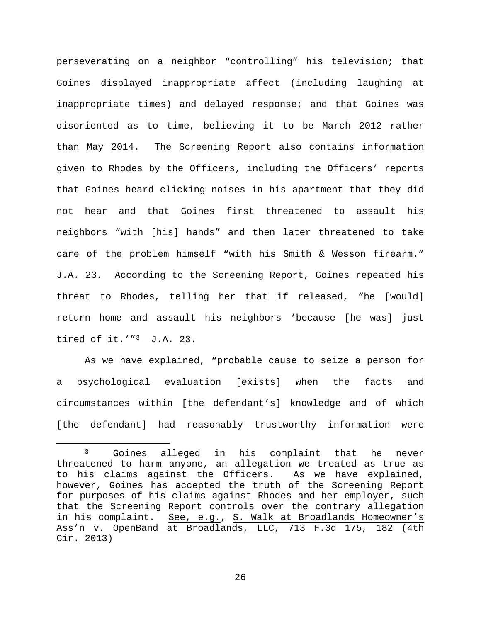perseverating on a neighbor "controlling" his television; that Goines displayed inappropriate affect (including laughing at inappropriate times) and delayed response; and that Goines was disoriented as to time, believing it to be March 2012 rather than May 2014. The Screening Report also contains information given to Rhodes by the Officers, including the Officers' reports that Goines heard clicking noises in his apartment that they did not hear and that Goines first threatened to assault his neighbors "with [his] hands" and then later threatened to take care of the problem himself "with his Smith & Wesson firearm." J.A. 23. According to the Screening Report, Goines repeated his threat to Rhodes, telling her that if released, "he [would] return home and assault his neighbors 'because [he was] just tired of it.'"<sup>[3](#page-25-0)</sup> J.A. 23.

As we have explained, "probable cause to seize a person for a psychological evaluation [exists] when the facts and circumstances within [the defendant's] knowledge and of which [the defendant] had reasonably trustworthy information were

<span id="page-25-0"></span><sup>&</sup>lt;sup>3</sup> Goines alleged in his complaint that he never threatened to harm anyone, an allegation we treated as true as to his claims against the Officers. As we have explained, however, Goines has accepted the truth of the Screening Report for purposes of his claims against Rhodes and her employer, such that the Screening Report controls over the contrary allegation<br>in his complaint. See, e.g., S. Walk at Broadlands Homeowner's See, e.g., S. Walk at Broadlands Homeowner's Ass'n v. OpenBand at Broadlands, LLC, 713 F.3d 175, 182 (4th Cir. 2013)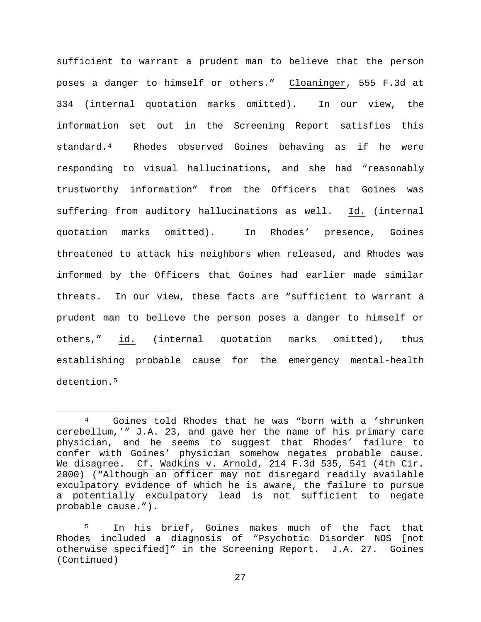sufficient to warrant a prudent man to believe that the person poses a danger to himself or others." Cloaninger, 555 F.3d at 334 (internal quotation marks omitted). In our view, the information set out in the Screening Report satisfies this standard.[4](#page-26-0) Rhodes observed Goines behaving as if he were responding to visual hallucinations, and she had "reasonably trustworthy information" from the Officers that Goines was suffering from auditory hallucinations as well. Id. (internal quotation marks omitted). In Rhodes' presence, Goines threatened to attack his neighbors when released, and Rhodes was informed by the Officers that Goines had earlier made similar threats. In our view, these facts are "sufficient to warrant a prudent man to believe the person poses a danger to himself or others," id. (internal quotation marks omitted), thus establishing probable cause for the emergency mental-health detention.<sup>[5](#page-26-1)</sup>

<span id="page-26-0"></span> <sup>4</sup> Goines told Rhodes that he was "born with a 'shrunken cerebellum,'" J.A. 23, and gave her the name of his primary care physician, and he seems to suggest that Rhodes' failure to confer with Goines' physician somehow negates probable cause. We disagree. Cf. Wadkins v. Arnold, 214 F.3d 535, 541 (4th Cir. 2000) ("Although an officer may not disregard readily available exculpatory evidence of which he is aware, the failure to pursue a potentially exculpatory lead is not sufficient to negate probable cause.").

<span id="page-26-1"></span> $5<sup>1</sup>$ <sup>5</sup> In his brief, Goines makes much of the fact that Rhodes included a diagnosis of "Psychotic Disorder NOS [not otherwise specified]" in the Screening Report. J.A. 27. Goines (Continued)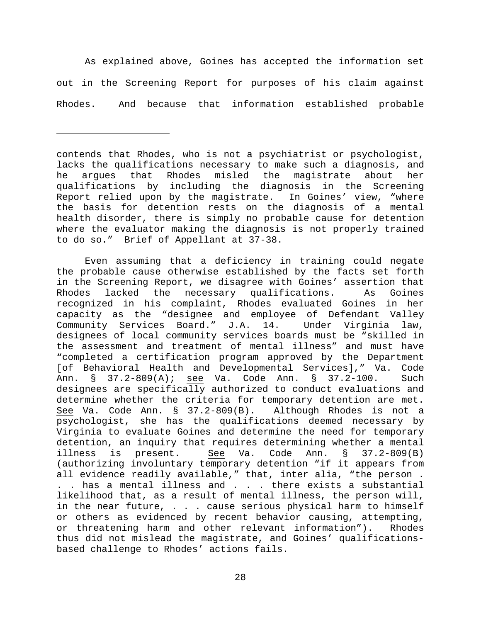As explained above, Goines has accepted the information set out in the Screening Report for purposes of his claim against Rhodes. And because that information established probable

ī

Even assuming that a deficiency in training could negate the probable cause otherwise established by the facts set forth in the Screening Report, we disagree with Goines' assertion that Rhodes lacked the necessary qualifications. As Goines recognized in his complaint, Rhodes evaluated Goines in her capacity as the "designee and employee of Defendant Valley<br>Community Services Board." J.A. 14. Under Virginia law, Community Services Board." J.A. 14. designees of local community services boards must be "skilled in the assessment and treatment of mental illness" and must have "completed a certification program approved by the Department [of Behavioral Health and Developmental Services]," Va. Code Ann. § 37.2-809(A); see Va. Code Ann. § 37.2-100. Such designees are specifically authorized to conduct evaluations and determine whether the criteria for temporary detention are met.<br>See Va. Code Ann. § 37.2-809(B). Although Rhodes is not a See Va. Code Ann.  $\S$  37.2-809(B). psychologist, she has the qualifications deemed necessary by Virginia to evaluate Goines and determine the need for temporary detention, an inquiry that requires determining whether a mental<br>illness is present. See Va. Code Ann. § 37.2-809(B) Code Ann. § (authorizing involuntary temporary detention "if it appears from all evidence readily available," that, inter alia, "the person . . . has a mental illness and . . . there exists a substantial likelihood that, as a result of mental illness, the person will, in the near future, . . . cause serious physical harm to himself or others as evidenced by recent behavior causing, attempting, or threatening harm and other relevant information"). Rhodes thus did not mislead the magistrate, and Goines' qualificationsbased challenge to Rhodes' actions fails.

contends that Rhodes, who is not a psychiatrist or psychologist, lacks the qualifications necessary to make such a diagnosis, and he argues that Rhodes misled the magistrate about her qualifications by including the diagnosis in the Screening Report relied upon by the magistrate. In Goines' view, "where the basis for detention rests on the diagnosis of a mental health disorder, there is simply no probable cause for detention where the evaluator making the diagnosis is not properly trained to do so." Brief of Appellant at 37-38.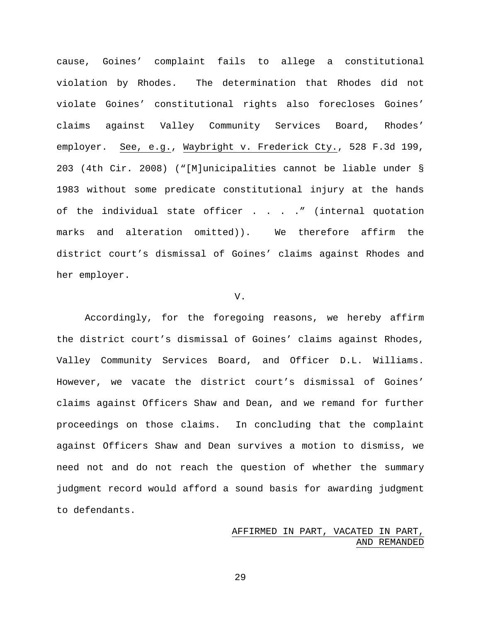cause, Goines' complaint fails to allege a constitutional violation by Rhodes. The determination that Rhodes did not violate Goines' constitutional rights also forecloses Goines' claims against Valley Community Services Board, Rhodes' employer. See, e.g., Waybright v. Frederick Cty., 528 F.3d 199, 203 (4th Cir. 2008) ("[M]unicipalities cannot be liable under § 1983 without some predicate constitutional injury at the hands of the individual state officer . . . . " (internal quotation marks and alteration omitted)). We therefore affirm the district court's dismissal of Goines' claims against Rhodes and her employer.

#### V.

Accordingly, for the foregoing reasons, we hereby affirm the district court's dismissal of Goines' claims against Rhodes, Valley Community Services Board, and Officer D.L. Williams. However, we vacate the district court's dismissal of Goines' claims against Officers Shaw and Dean, and we remand for further proceedings on those claims. In concluding that the complaint against Officers Shaw and Dean survives a motion to dismiss, we need not and do not reach the question of whether the summary judgment record would afford a sound basis for awarding judgment to defendants.

# AFFIRMED IN PART, VACATED IN PART, AND REMANDED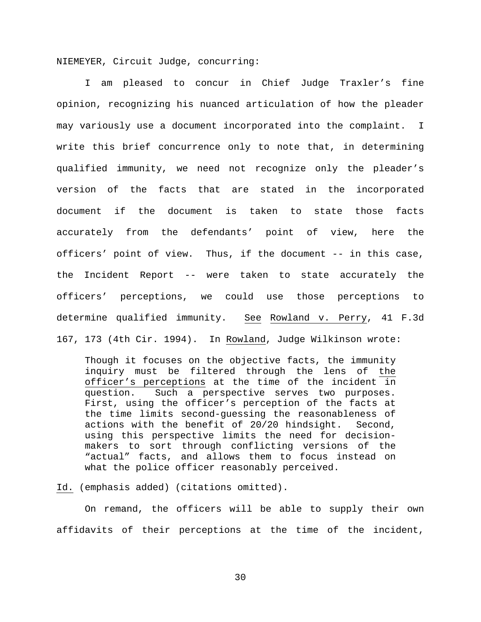NIEMEYER, Circuit Judge, concurring:

I am pleased to concur in Chief Judge Traxler's fine opinion, recognizing his nuanced articulation of how the pleader may variously use a document incorporated into the complaint. I write this brief concurrence only to note that, in determining qualified immunity, we need not recognize only the pleader's version of the facts that are stated in the incorporated document if the document is taken to state those facts accurately from the defendants' point of view, here the officers' point of view. Thus, if the document -- in this case, the Incident Report -- were taken to state accurately the officers' perceptions, we could use those perceptions to determine qualified immunity. See Rowland v. Perry, 41 F.3d 167, 173 (4th Cir. 1994). In Rowland, Judge Wilkinson wrote:

Though it focuses on the objective facts, the immunity inquiry must be filtered through the lens of the officer's perceptions at the time of the incident in question. Such a perspective serves two purposes. First, using the officer's perception of the facts at the time limits second-guessing the reasonableness of actions with the benefit of 20/20 hindsight. Second, using this perspective limits the need for decisionmakers to sort through conflicting versions of the "actual" facts, and allows them to focus instead on what the police officer reasonably perceived.

Id. (emphasis added) (citations omitted).

On remand, the officers will be able to supply their own affidavits of their perceptions at the time of the incident,